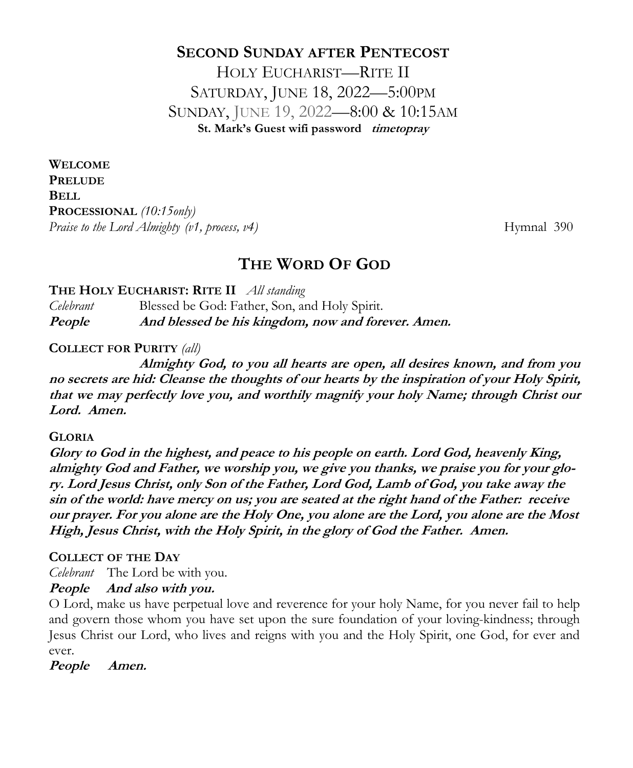# **SECOND SUNDAY AFTER PENTECOST** HOLY EUCHARIST—RITE II SATURDAY, JUNE 18, 2022—5:00PM SUNDAY, JUNE 19, 2022—8:00 & 10:15AM **St. Mark's Guest wifi password timetopray**

**WELCOME PRELUDE BELL PROCESSIONAL** *(10:15only) Praise to the Lord Almighty (v1, process, v4)* Hymnal 390

# **THE WORD OF GOD**

**THE HOLY EUCHARIST: RITE II** *All standing* 

*Celebrant* Blessed be God: Father, Son, and Holy Spirit. **People And blessed be his kingdom, now and forever. Amen.** 

**COLLECT FOR PURITY** *(all)*

**Almighty God, to you all hearts are open, all desires known, and from you no secrets are hid: Cleanse the thoughts of our hearts by the inspiration of your Holy Spirit, that we may perfectly love you, and worthily magnify your holy Name; through Christ our Lord. Amen.**

#### **GLORIA**

**Glory to God in the highest, and peace to his people on earth. Lord God, heavenly King, almighty God and Father, we worship you, we give you thanks, we praise you for your glory. Lord Jesus Christ, only Son of the Father, Lord God, Lamb of God, you take away the sin of the world: have mercy on us; you are seated at the right hand of the Father: receive our prayer. For you alone are the Holy One, you alone are the Lord, you alone are the Most High, Jesus Christ, with the Holy Spirit, in the glory of God the Father. Amen.**

#### **COLLECT OF THE DAY**

*Celebrant* The Lord be with you.

**People And also with you.**

O Lord, make us have perpetual love and reverence for your holy Name, for you never fail to help and govern those whom you have set upon the sure foundation of your loving-kindness; through Jesus Christ our Lord, who lives and reigns with you and the Holy Spirit, one God, for ever and ever.

**People Amen.**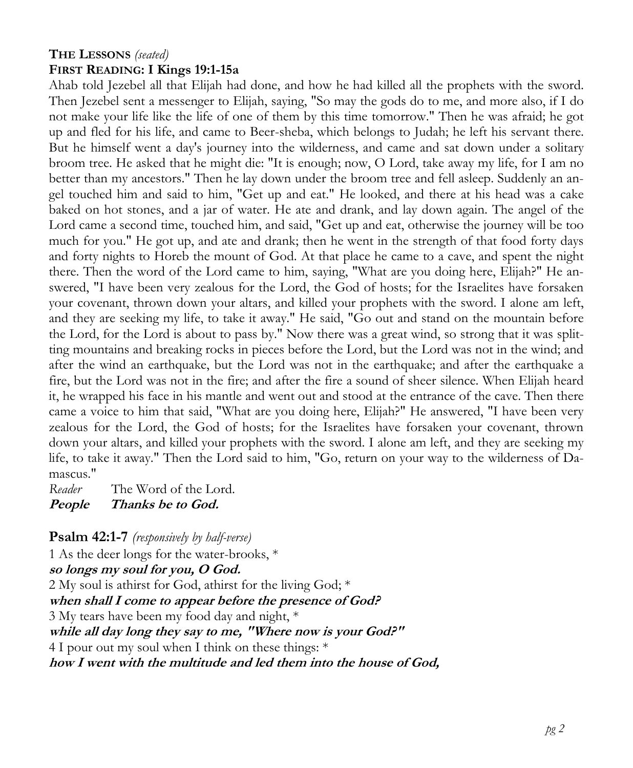# **THE LESSONS** *(seated)*

#### **FIRST READING: I Kings 19:1-15a**

Ahab told Jezebel all that Elijah had done, and how he had killed all the prophets with the sword. Then Jezebel sent a messenger to Elijah, saying, "So may the gods do to me, and more also, if I do not make your life like the life of one of them by this time tomorrow." Then he was afraid; he got up and fled for his life, and came to Beer-sheba, which belongs to Judah; he left his servant there. But he himself went a day's journey into the wilderness, and came and sat down under a solitary broom tree. He asked that he might die: "It is enough; now, O Lord, take away my life, for I am no better than my ancestors." Then he lay down under the broom tree and fell asleep. Suddenly an angel touched him and said to him, "Get up and eat." He looked, and there at his head was a cake baked on hot stones, and a jar of water. He ate and drank, and lay down again. The angel of the Lord came a second time, touched him, and said, "Get up and eat, otherwise the journey will be too much for you." He got up, and ate and drank; then he went in the strength of that food forty days and forty nights to Horeb the mount of God. At that place he came to a cave, and spent the night there. Then the word of the Lord came to him, saying, "What are you doing here, Elijah?" He answered, "I have been very zealous for the Lord, the God of hosts; for the Israelites have forsaken your covenant, thrown down your altars, and killed your prophets with the sword. I alone am left, and they are seeking my life, to take it away." He said, "Go out and stand on the mountain before the Lord, for the Lord is about to pass by." Now there was a great wind, so strong that it was splitting mountains and breaking rocks in pieces before the Lord, but the Lord was not in the wind; and after the wind an earthquake, but the Lord was not in the earthquake; and after the earthquake a fire, but the Lord was not in the fire; and after the fire a sound of sheer silence. When Elijah heard it, he wrapped his face in his mantle and went out and stood at the entrance of the cave. Then there came a voice to him that said, "What are you doing here, Elijah?" He answered, "I have been very zealous for the Lord, the God of hosts; for the Israelites have forsaken your covenant, thrown down your altars, and killed your prophets with the sword. I alone am left, and they are seeking my life, to take it away." Then the Lord said to him, "Go, return on your way to the wilderness of Damascus."

*Reader* The Word of the Lord.

**People Thanks be to God.** 

**Psalm 42:1-7** *(responsively by half-verse)*

1 As the deer longs for the water-brooks, \* **so longs my soul for you, O God.** 2 My soul is athirst for God, athirst for the living God; \* **when shall I come to appear before the presence of God?** 3 My tears have been my food day and night, \* **while all day long they say to me, "Where now is your God?"** 4 I pour out my soul when I think on these things: \* **how I went with the multitude and led them into the house of God,**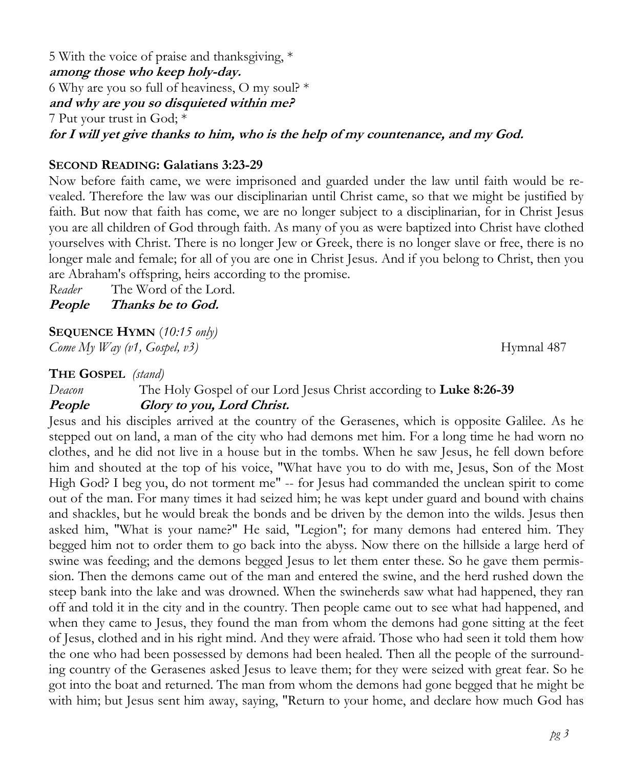5 With the voice of praise and thanksgiving, \* **among those who keep holy-day.** 6 Why are you so full of heaviness, O my soul? \* **and why are you so disquieted within me?** 7 Put your trust in God; \* **for I will yet give thanks to him, who is the help of my countenance, and my God.**

#### **SECOND READING: Galatians 3:23-29**

Now before faith came, we were imprisoned and guarded under the law until faith would be revealed. Therefore the law was our disciplinarian until Christ came, so that we might be justified by faith. But now that faith has come, we are no longer subject to a disciplinarian, for in Christ Jesus you are all children of God through faith. As many of you as were baptized into Christ have clothed yourselves with Christ. There is no longer Jew or Greek, there is no longer slave or free, there is no longer male and female; for all of you are one in Christ Jesus. And if you belong to Christ, then you are Abraham's offspring, heirs according to the promise.

*Reader* The Word of the Lord. **People Thanks be to God.** 

**SEQUENCE HYMN** (*10:15 only)*

*Come My Way (v1, Gospel, v3)* Hymnal 487

#### **THE GOSPEL** *(stand)*

*Deacon* The Holy Gospel of our Lord Jesus Christ according to **Luke 8:26-39**

#### **People Glory to you, Lord Christ.**

Jesus and his disciples arrived at the country of the Gerasenes, which is opposite Galilee. As he stepped out on land, a man of the city who had demons met him. For a long time he had worn no clothes, and he did not live in a house but in the tombs. When he saw Jesus, he fell down before him and shouted at the top of his voice, "What have you to do with me, Jesus, Son of the Most High God? I beg you, do not torment me" -- for Jesus had commanded the unclean spirit to come out of the man. For many times it had seized him; he was kept under guard and bound with chains and shackles, but he would break the bonds and be driven by the demon into the wilds. Jesus then asked him, "What is your name?" He said, "Legion"; for many demons had entered him. They begged him not to order them to go back into the abyss. Now there on the hillside a large herd of swine was feeding; and the demons begged Jesus to let them enter these. So he gave them permission. Then the demons came out of the man and entered the swine, and the herd rushed down the steep bank into the lake and was drowned. When the swineherds saw what had happened, they ran off and told it in the city and in the country. Then people came out to see what had happened, and when they came to Jesus, they found the man from whom the demons had gone sitting at the feet of Jesus, clothed and in his right mind. And they were afraid. Those who had seen it told them how the one who had been possessed by demons had been healed. Then all the people of the surrounding country of the Gerasenes asked Jesus to leave them; for they were seized with great fear. So he got into the boat and returned. The man from whom the demons had gone begged that he might be with him; but Jesus sent him away, saying, "Return to your home, and declare how much God has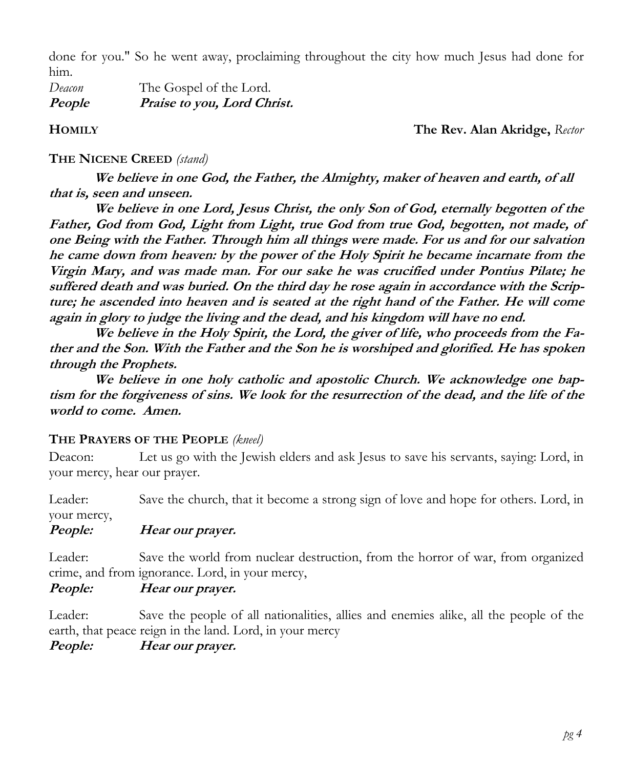done for you." So he went away, proclaiming throughout the city how much Jesus had done for him.

*Deacon* The Gospel of the Lord. **People Praise to you, Lord Christ.** 

**HOMILY The Rev. Alan Akridge,** *Rector*

#### **THE NICENE CREED** *(stand)*

**We believe in one God, the Father, the Almighty, maker of heaven and earth, of all that is, seen and unseen.**

 **We believe in one Lord, Jesus Christ, the only Son of God, eternally begotten of the Father, God from God, Light from Light, true God from true God, begotten, not made, of one Being with the Father. Through him all things were made. For us and for our salvation he came down from heaven: by the power of the Holy Spirit he became incarnate from the Virgin Mary, and was made man. For our sake he was crucified under Pontius Pilate; he suffered death and was buried. On the third day he rose again in accordance with the Scripture; he ascended into heaven and is seated at the right hand of the Father. He will come again in glory to judge the living and the dead, and his kingdom will have no end.**

 **We believe in the Holy Spirit, the Lord, the giver of life, who proceeds from the Father and the Son. With the Father and the Son he is worshiped and glorified. He has spoken through the Prophets.** 

 **We believe in one holy catholic and apostolic Church. We acknowledge one baptism for the forgiveness of sins. We look for the resurrection of the dead, and the life of the world to come. Amen.**

#### **THE PRAYERS OF THE PEOPLE** *(kneel)*

Deacon: Let us go with the Jewish elders and ask Jesus to save his servants, saying: Lord, in your mercy, hear our prayer.

Leader: Save the church, that it become a strong sign of love and hope for others. Lord, in your mercy,

# **People: Hear our prayer.**

Leader: Save the world from nuclear destruction, from the horror of war, from organized crime, and from ignorance. Lord, in your mercy,

# **People: Hear our prayer.**

Leader: Save the people of all nationalities, allies and enemies alike, all the people of the earth, that peace reign in the land. Lord, in your mercy

**People: Hear our prayer.**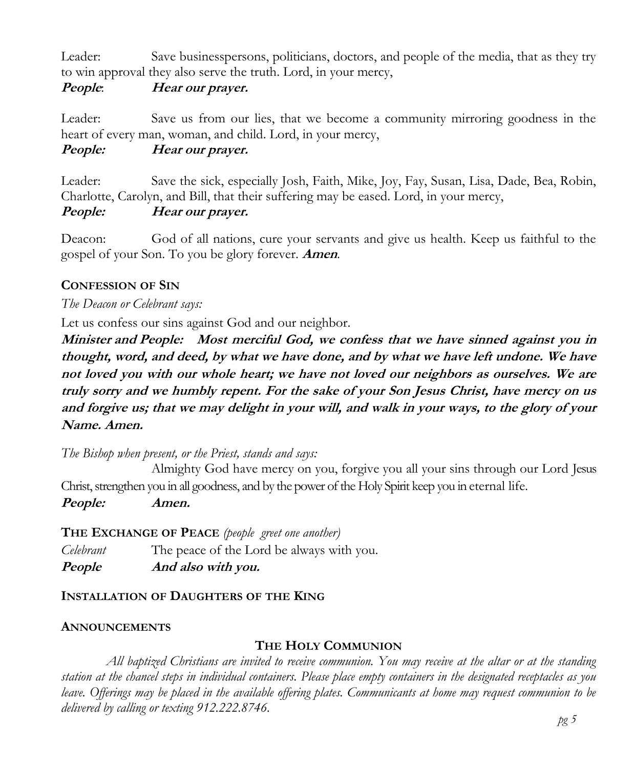Leader: Save businesspersons, politicians, doctors, and people of the media, that as they try to win approval they also serve the truth. Lord, in your mercy,

#### **People**: **Hear our prayer.**

Leader: Save us from our lies, that we become a community mirroring goodness in the heart of every man, woman, and child. Lord, in your mercy,

## **People: Hear our prayer.**

Leader: Save the sick, especially Josh, Faith, Mike, Joy, Fay, Susan, Lisa, Dade, Bea, Robin, Charlotte, Carolyn, and Bill, that their suffering may be eased. Lord, in your mercy,

#### **People: Hear our prayer.**

Deacon: God of all nations, cure your servants and give us health. Keep us faithful to the gospel of your Son. To you be glory forever. **Amen**.

#### **CONFESSION OF SIN**

#### *The Deacon or Celebrant says:*

Let us confess our sins against God and our neighbor.

**Minister and People: Most merciful God, we confess that we have sinned against you in thought, word, and deed, by what we have done, and by what we have left undone. We have not loved you with our whole heart; we have not loved our neighbors as ourselves. We are truly sorry and we humbly repent. For the sake of your Son Jesus Christ, have mercy on us and forgive us; that we may delight in your will, and walk in your ways, to the glory of your Name. Amen.**

*The Bishop when present, or the Priest, stands and says:*

Almighty God have mercy on you, forgive you all your sins through our Lord Jesus Christ, strengthen you in all goodness, and by the power of the Holy Spirit keep you in eternal life.

**People: Amen.**

### **THE EXCHANGE OF PEACE** *(people greet one another)*

*Celebrant* The peace of the Lord be always with you. **People And also with you.** 

### **INSTALLATION OF DAUGHTERS OF THE KING**

#### **ANNOUNCEMENTS**

#### **THE HOLY COMMUNION**

*All baptized Christians are invited to receive communion. You may receive at the altar or at the standing station at the chancel steps in individual containers. Please place empty containers in the designated receptacles as you leave. Offerings may be placed in the available offering plates. Communicants at home may request communion to be delivered by calling or texting 912.222.8746.*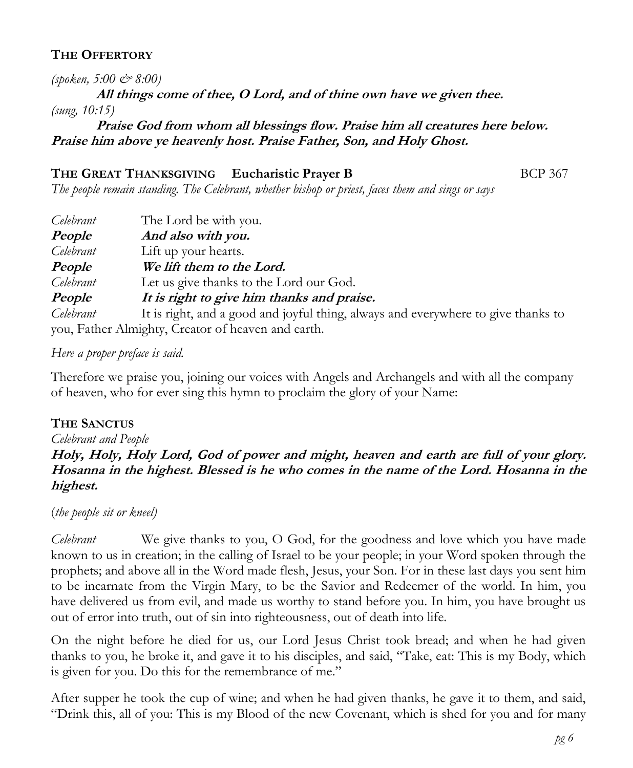## **THE OFFERTORY**

*(spoken, 5:00 & 8:00)*

**All things come of thee, O Lord, and of thine own have we given thee.** *(sung, 10:15)*

**Praise God from whom all blessings flow. Praise him all creatures here below. Praise him above ye heavenly host. Praise Father, Son, and Holy Ghost.**

## **THE GREAT THANKSGIVING Eucharistic Prayer B** BCP 367

*The people remain standing. The Celebrant, whether bishop or priest, faces them and sings or says*

| Celebrant | The Lord be with you.                                                             |
|-----------|-----------------------------------------------------------------------------------|
| People    | And also with you.                                                                |
| Celebrant | Lift up your hearts.                                                              |
| People    | We lift them to the Lord.                                                         |
| Celebrant | Let us give thanks to the Lord our God.                                           |
| People    | It is right to give him thanks and praise.                                        |
| Celebrant | It is right, and a good and joyful thing, always and everywhere to give thanks to |
|           | you, Father Almighty, Creator of heaven and earth.                                |

*Here a proper preface is said.*

Therefore we praise you, joining our voices with Angels and Archangels and with all the company of heaven, who for ever sing this hymn to proclaim the glory of your Name:

### **THE SANCTUS**

# *Celebrant and People*

**Holy, Holy, Holy Lord, God of power and might, heaven and earth are full of your glory. Hosanna in the highest. Blessed is he who comes in the name of the Lord. Hosanna in the highest.**

(*the people sit or kneel)* 

*Celebrant* We give thanks to you, O God, for the goodness and love which you have made known to us in creation; in the calling of Israel to be your people; in your Word spoken through the prophets; and above all in the Word made flesh, Jesus, your Son. For in these last days you sent him to be incarnate from the Virgin Mary, to be the Savior and Redeemer of the world. In him, you have delivered us from evil, and made us worthy to stand before you. In him, you have brought us out of error into truth, out of sin into righteousness, out of death into life.

On the night before he died for us, our Lord Jesus Christ took bread; and when he had given thanks to you, he broke it, and gave it to his disciples, and said, "Take, eat: This is my Body, which is given for you. Do this for the remembrance of me."

After supper he took the cup of wine; and when he had given thanks, he gave it to them, and said, "Drink this, all of you: This is my Blood of the new Covenant, which is shed for you and for many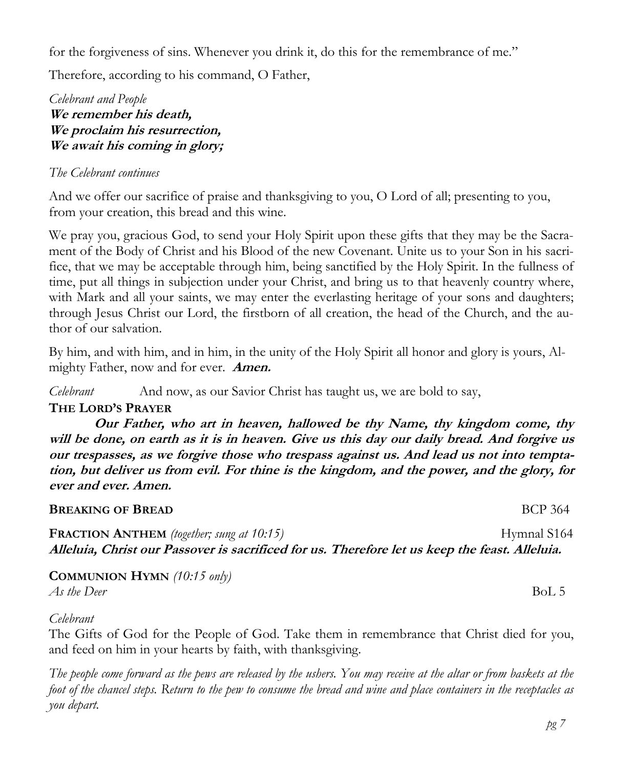for the forgiveness of sins. Whenever you drink it, do this for the remembrance of me."

Therefore, according to his command, O Father,

*Celebrant and People* **We remember his death, We proclaim his resurrection, We await his coming in glory;**

#### *The Celebrant continues*

And we offer our sacrifice of praise and thanksgiving to you, O Lord of all; presenting to you, from your creation, this bread and this wine.

We pray you, gracious God, to send your Holy Spirit upon these gifts that they may be the Sacrament of the Body of Christ and his Blood of the new Covenant. Unite us to your Son in his sacrifice, that we may be acceptable through him, being sanctified by the Holy Spirit. In the fullness of time, put all things in subjection under your Christ, and bring us to that heavenly country where, with Mark and all your saints, we may enter the everlasting heritage of your sons and daughters; through Jesus Christ our Lord, the firstborn of all creation, the head of the Church, and the author of our salvation.

By him, and with him, and in him, in the unity of the Holy Spirit all honor and glory is yours, Almighty Father, now and for ever. **Amen.**

*Celebrant* And now, as our Savior Christ has taught us, we are bold to say,

### **THE LORD'S PRAYER**

**Our Father, who art in heaven, hallowed be thy Name, thy kingdom come, thy will be done, on earth as it is in heaven. Give us this day our daily bread. And forgive us our trespasses, as we forgive those who trespass against us. And lead us not into temptation, but deliver us from evil. For thine is the kingdom, and the power, and the glory, for ever and ever. Amen.**

#### **BREAKING OF BREAD BCP** 364

**FRACTION ANTHEM** (together; sung at 10:15) Hymnal S164 **Alleluia, Christ our Passover is sacrificed for us. Therefore let us keep the feast. Alleluia.**

**COMMUNION HYMN** *(10:15 only) As the Deer* BoL 5

*Celebrant*

The Gifts of God for the People of God. Take them in remembrance that Christ died for you, and feed on him in your hearts by faith, with thanksgiving.

*The people come forward as the pews are released by the ushers. You may receive at the altar or from baskets at the foot of the chancel steps. Return to the pew to consume the bread and wine and place containers in the receptacles as you depart.*